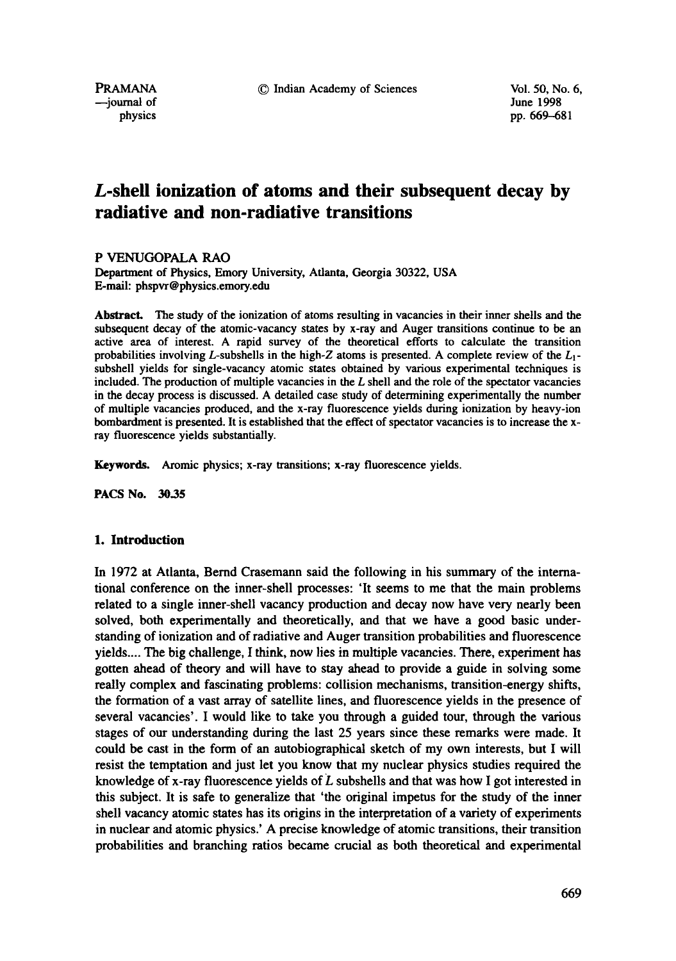pp. 669-681

# **L-shell ionization of atoms and their subsequent decay by radiative and non-radiative transitions**

P VENUGOPALA RAO

Department of Physics, Emory University, Atlanta, Georgia 30322, USA E-mail: phspvr @physics.emory.edu

Abstract. The study of the ionization of atoms resulting in vacancies in their inner shells and the subsequent decay of the atomic-vacancy states by x-ray and Auger transitions continue to be an active area of interest. A rapid survey of the theoretical efforts to calculate the transition probabilities involving L-subshells in the high-Z atoms is presented. A complete review of the  $L_1$ subshell yields for single-vacancy atomic states obtained by various experimental techniques is included. The production of multiple vacancies in the  $L$  shell and the role of the spectator vacancies in the decay process is discussed. A detailed case study of determining experimentally the number of multiple vacancies produced, and the x-ray fluorescence yields during ionization by heavy-ion bombardment is presented. It is established that the effect of spectator vacancies is to increase the xray fluorescence yields substantially.

Keywords. Aromic physics; x-ray transitions; x-ray fluorescence yields.

PACS No. 30.35

## **1. Introduction**

In 1972 at Atlanta, Bernd Crasemann said the following in his summary of the international conference on the inner-shell processes: 'It seems to me that the main problems related to a single inner-shell vacancy production and decay now have very nearly been solved, both experimentally and theoretically, and that we have a good basic understanding of ionization and of radiative and Auger transition probabilities and fluorescence yields .... The big challenge, I think, now lies in multiple vacancies. There, experiment has gotten ahead of theory and will have to stay ahead to provide a guide in solving some really complex and fascinating problems: collision mechanisms, transition-energy shifts, the formation of a vast array of satellite lines, and fluorescence yields in the presence of several vacancies'. I would like to take you through a guided tour, through the various stages of our understanding during the last 25 years since these remarks were made. It could be cast in the form of an autobiographical sketch of my own interests, but I will resist the temptation and just let you know that my nuclear physics studies required the knowledge of x-ray fluorescence yields of  $L$  subshells and that was how I got interested in this subject. It is safe to generalize that 'the original impetus for the study of the inner shell vacancy atomic states has its origins in the interpretation of a variety of experiments in nuclear and atomic physics.' A precise knowledge of atomic transitions, their transition probabilities and branching ratios became crucial as both theoretical and experimental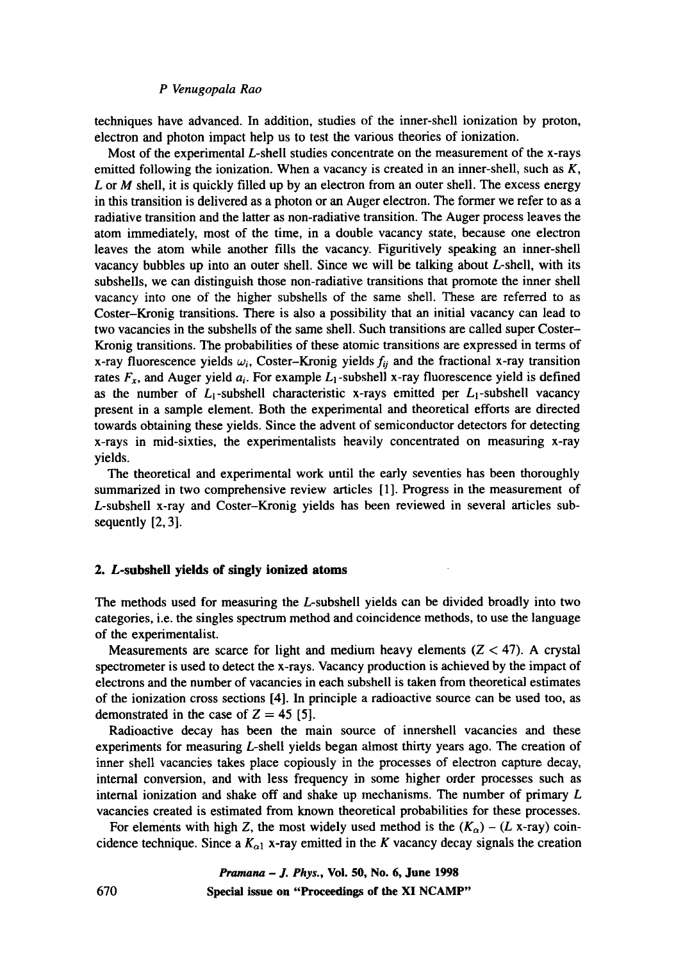techniques have advanced. In addition, studies of the inner-shell ionization by proton, electron and photon impact help us to test the various theories of ionization.

Most of the experimental L-shell studies concentrate on the measurement of the x-rays emitted following the ionization. When a vacancy is created in an inner-shell, such as  $K$ , L or  $M$  shell, it is quickly filled up by an electron from an outer shell. The excess energy in this transition is delivered as a photon or an Auger electron. The former we refer to as a radiative transition and the latter as non-radiative transition. The Auger process leaves the atom immediately, most of the time, in a double vacancy state, because one electron leaves the atom while another fills the vacancy. Figuritively speaking an inner-shell vacancy bubbles up into an outer shell. Since we will be talking about L-shell, with its subshells, we can distinguish those non-radiative transitions that promote the inner shell vacancy into one of the higher subshells of the same shell. These are referred to as Coster-Kronig transitions. There is also a possibility that an initial vacancy can lead to two vacancies in the subshells of the same shell. Such transitions are called super Coster-Kronig transitions. The probabilities of these atomic transitions are expressed in terms of x-ray fluorescence yields  $\omega_i$ , Coster-Kronig yields  $f_{ij}$  and the fractional x-ray transition rates  $F_x$ , and Auger yield  $a_i$ . For example  $L_1$ -subshell x-ray fluorescence yield is defined as the number of  $L_1$ -subshell characteristic x-rays emitted per  $L_1$ -subshell vacancy present in a sample element. Both the experimental and theoretical efforts are directed towards obtaining these yields. Since the advent of semiconductor detectors for detecting x-rays in mid-sixties, the experimentalists heavily concentrated on measuring x-ray yields.

The theoretical and experimental work until the early seventies has been thoroughly summarized in two comprehensive review articles [1]. Progress in the measurement of L-subshell x-ray and Coster-Kronig yields has been reviewed in several articles subsequently [2, 3].

#### **2. L-subshell yields of singly ionized atoms**

The methods used for measuring the L-subshell yields can be divided broadly into two categories, i.e. the singles spectrum method and coincidence methods, to use the language of the experimentalist.

Measurements are scarce for light and medium heavy elements  $(Z < 47)$ . A crystal spectrometer is used to detect the x-rays. Vacancy production is achieved by the impact of electrons and the number of vacancies in each subshell is taken from theoretical estimates of the ionization cross sections [4]. In principle a radioactive source can be used too, as demonstrated in the case of  $Z = 45$  [5].

Radioactive decay has been the main source of innershell vacancies and these experiments for measuring L-shell yields began almost thirty years ago. The creation of inner shell vacancies takes place copiously in the processes of electron capture decay, internal conversion, and with less frequency in some higher order processes such as internal ionization and shake off and shake up mechanisms. The number of primary L vacancies created is estimated from known theoretical probabilities for these processes.

For elements with high Z, the most widely used method is the  $(K_{\alpha}) - (L \times ray)$  coincidence technique. Since a  $K_{\alpha 1}$  x-ray emitted in the K vacancy decay signals the creation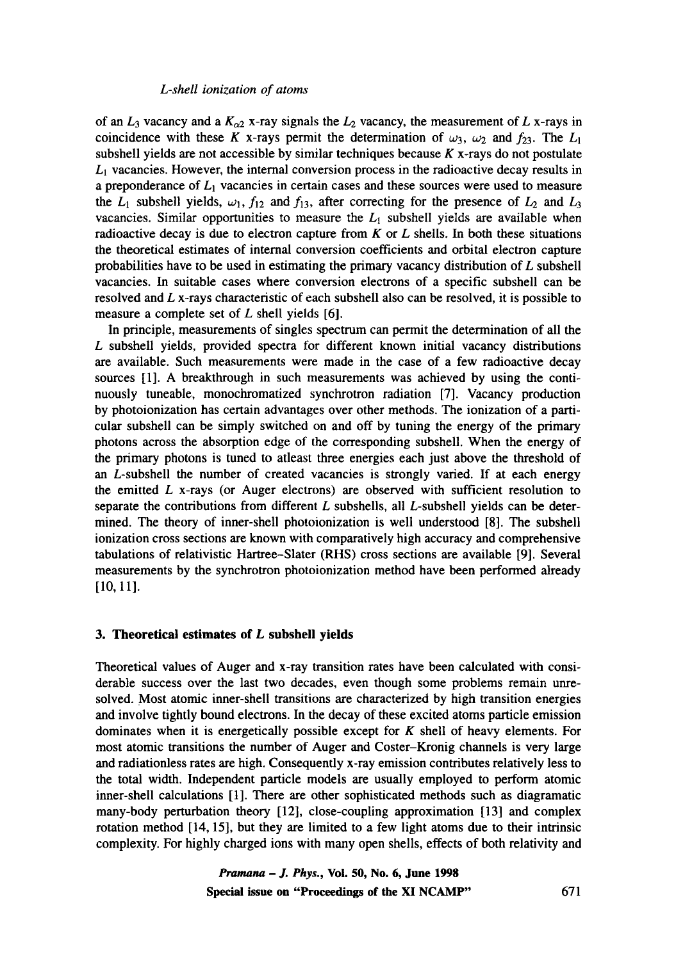of an  $L_3$  vacancy and a  $K_{\alpha 2}$  x-ray signals the  $L_2$  vacancy, the measurement of L x-rays in coincidence with these K x-rays permit the determination of  $\omega_3$ ,  $\omega_2$  and  $f_{23}$ . The  $L_1$ subshell yields are not accessible by similar techniques because  $K$  x-rays do not postulate  $L<sub>1</sub>$  vacancies. However, the internal conversion process in the radioactive decay results in a preponderance of  $L_1$  vacancies in certain cases and these sources were used to measure the  $L_1$  subshell yields,  $\omega_1$ ,  $f_{12}$  and  $f_{13}$ , after correcting for the presence of  $L_2$  and  $L_3$ vacancies. Similar opportunities to measure the  $L<sub>1</sub>$  subshell yields are available when radioactive decay is due to electron capture from  $K$  or  $L$  shells. In both these situations the theoretical estimates of internal conversion coefficients and orbital electron capture probabilities have to be used in estimating the primary vacancy distribution of L subshell vacancies. In suitable cases where conversion electrons of a specific subshell can be resolved and L x-rays characteristic of each subshell also can be resolved, it is possible to measure a complete set of  $L$  shell yields [6].

In principle, measurements of singles spectrum can permit the determination of all the L subshell yields, provided spectra for different known initial vacancy distributions are available. Such measurements were made in the case of a few radioactive decay sources [1]. A breakthrough in such measurements was achieved by using the continuously tuneable, monochromatized synchrotron radiation [7]. Vacancy production by photoionization has certain advantages over other methods. The ionization of a particular subshell can be simply switched on and off by tuning the energy of the primary photons across the absorption edge of the corresponding subshell. When the energy of the primary photons is tuned to atleast three energies each just above the threshold of an L-subshell the number of created vacancies is strongly varied. If at each energy the emitted  $L$  x-rays (or Auger electrons) are observed with sufficient resolution to separate the contributions from different  $L$  subshells, all  $L$ -subshell yields can be determined. The theory of inner-shell photoionization is well understood [8]. The subshell ionization cross sections are known with comparatively high accuracy and comprehensive tabulations of relativistic Hartree-Slater (RHS) cross sections are available [9]. Several measurements by the synchrotron photoionization method have been performed already [10, 11].

#### **3. Theoretical estimates of L subshell yields**

Theoretical values of Auger and x-ray transition rates have been calculated with considerable success over the last two decades, even though some problems remain unresolved. Most atomic inner-shell transitions are characterized by high transition energies and involve tightly bound electrons. In the decay of these excited atoms particle emission dominates when it is energetically possible except for  $K$  shell of heavy elements. For most atomic transitions the number of Auger and Coster-Kronig channels is very large and radiationless rates are high. Consequently x-ray emission contributes relatively less to the total width. Independent particle models are usually employed to perform atomic inner-shell calculations [1]. There are other sophisticated methods such as diagramatic many-body perturbation theory [12], close-coupling approximation [13] and complex rotation method [14, 15], but they are limited to a few light atoms due to their intrinsic complexity. For highly charged ions with many open shells, effects of both relativity and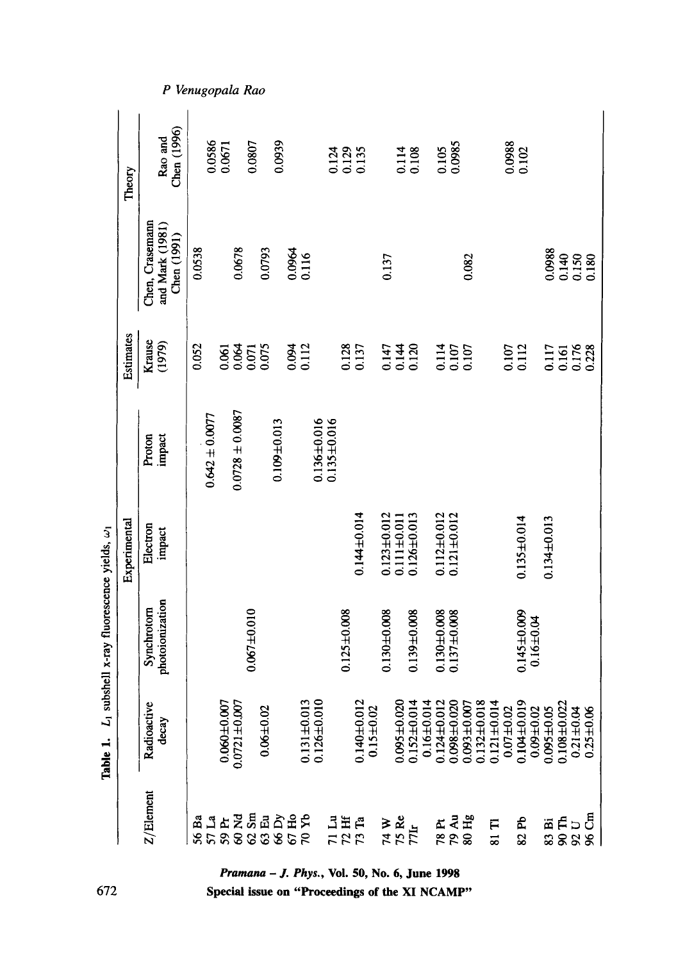|                                                                              |                      |                                | Experimental       |                     | Estimates                        |                                                  | Theory                 |
|------------------------------------------------------------------------------|----------------------|--------------------------------|--------------------|---------------------|----------------------------------|--------------------------------------------------|------------------------|
| Z/Element                                                                    | Radioactive<br>decay | photoionization<br>Synchrotorn | Electron<br>impact | impact<br>Proton    | Krause<br>(1979)                 | Chen, Crasemann<br>and Mark (1981)<br>Chen(1991) | Chen (1996)<br>Rao and |
| å<br>8                                                                       |                      |                                |                    |                     | 0.052                            | 0.0538                                           |                        |
|                                                                              | $0.060 \pm 0.007$    |                                |                    | $0.642 \pm 0.0077$  |                                  |                                                  | 0.0586                 |
|                                                                              |                      |                                |                    |                     |                                  |                                                  | 0.0671                 |
|                                                                              | $0.0721 + 0.007$     | $0.067 + 0.010$                |                    | $0.0728 \pm 0.0087$ |                                  | 0.0678                                           |                        |
|                                                                              | $0.06 + 0.02$        |                                |                    |                     | 0.064<br>0.064<br>0.075<br>0.075 | 0.0793                                           | 0.0807                 |
|                                                                              |                      |                                |                    | $0.109 + 0.013$     |                                  |                                                  | 0.0939                 |
|                                                                              |                      |                                |                    |                     |                                  |                                                  |                        |
|                                                                              | $0.131 \pm 0.013$    |                                |                    |                     | 0.094<br>0.112                   | 0.0964<br>0.116                                  |                        |
|                                                                              | $0.126 + 0.010$      |                                |                    | $0.136 + 0.016$     |                                  |                                                  |                        |
|                                                                              |                      |                                |                    | $0.135 \pm 0.016$   |                                  |                                                  | 0.124                  |
| 리<br>1215<br>172                                                             |                      | $0.125 \pm 0.008$              |                    |                     |                                  |                                                  |                        |
|                                                                              | $0.140 \pm 0.012$    |                                | $0.144 \pm 0.014$  |                     | 0.137                            |                                                  | 0.129<br>0.135         |
|                                                                              | $0.15 + 0.02$        |                                |                    |                     |                                  |                                                  |                        |
|                                                                              |                      | $0.130 + 0.008$                | $0.123 + 0.012$    |                     |                                  | 0.137                                            |                        |
|                                                                              | $0.095 \pm 0.020$    |                                | $0.111 + 0.011$    |                     |                                  |                                                  |                        |
| $\begin{array}{l} 74 \text{ W} \\ 75 \text{ Re} \\ 77 \text{Ir} \end{array}$ | $0.152 \pm 0.014$    | $0.139 + 0.008$                | $0.126 \pm 0.013$  |                     | 0.147<br>0.144<br>0.120          |                                                  | 0.114<br>0.108         |
|                                                                              | $0.16 + 0.014$       |                                |                    |                     |                                  |                                                  |                        |
|                                                                              | $0.124 + 0.012$      | $0.130 + 0.008$                | $0.112 \pm 0.012$  |                     |                                  |                                                  | 0.105                  |
|                                                                              | $0.098 + 0.020$      | $0.137 + 0.008$                | $0.121 + 0.012$    |                     |                                  |                                                  | 0.0985                 |
| 78 PH<br>79 Au<br>80 Hg                                                      | $0.093 + 0.007$      |                                |                    |                     | 0.114<br>0.107<br>0.107          | 0.082                                            |                        |
|                                                                              | $0.132 \pm 0.018$    |                                |                    |                     |                                  |                                                  |                        |
| F<br>$\overline{\mathbf{3}}$                                                 | $0.121 \pm 0.014$    |                                |                    |                     |                                  |                                                  |                        |
|                                                                              | $0.07 + 0.02$        |                                |                    |                     |                                  |                                                  |                        |
| 82 Pb                                                                        | $0.104 \pm 0.019$    | $0.145 \pm 0.009$              | $0.135 \pm 0.014$  |                     | 0.107<br>0.112                   |                                                  | $\frac{0.0988}{0.102}$ |
|                                                                              | $0.09 + 0.02$        | $0.16 + 0.04$                  |                    |                     |                                  |                                                  |                        |
|                                                                              | $0.095 + 0.05$       |                                | $0.134 + 0.013$    |                     | 0.117                            | 0.0988                                           |                        |
| 83 FL<br>89 SC<br>96 CA                                                      | $0.108 + 0.022$      |                                |                    |                     | 0.161                            | 0.140<br>0.150                                   |                        |
|                                                                              | $0.21 + 0.04$        |                                |                    |                     | 0.176                            |                                                  |                        |
|                                                                              | $0.25 + 0.06$        |                                |                    |                     | 0.228                            | 0.180                                            |                        |

Special issue on "Proceedings of the XI NCAMP"

672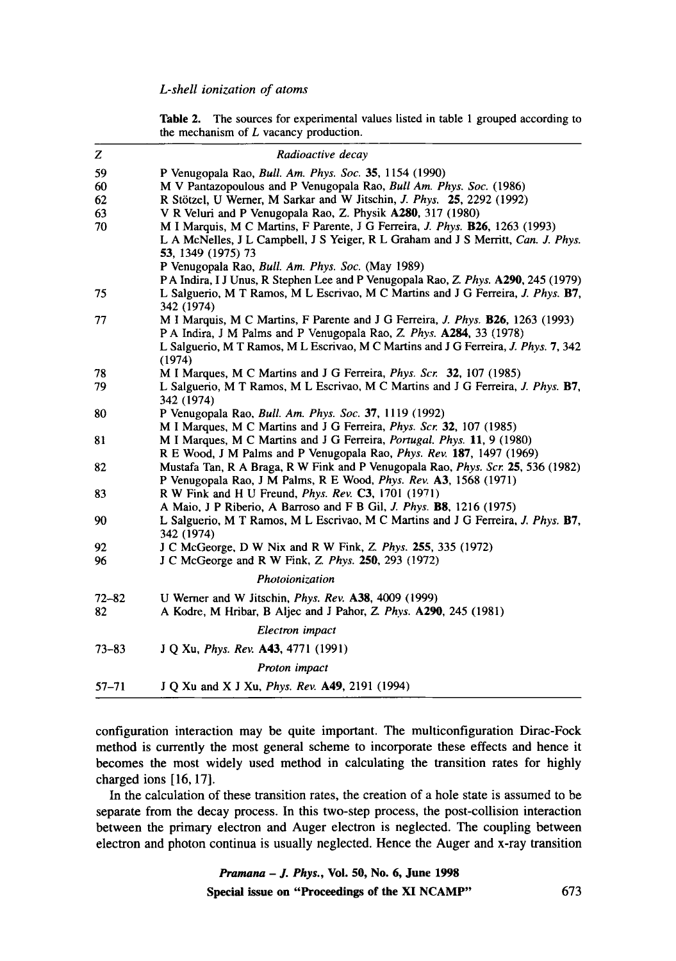**Table** 2. The sources for experimental values listed in table 1 grouped according to the mechanism of  $L$  vacancy production.

| z         | Radioactive decay                                                                                                                                                                               |
|-----------|-------------------------------------------------------------------------------------------------------------------------------------------------------------------------------------------------|
| 59        | P Venugopala Rao, <i>Bull. Am. Phys. Soc.</i> 35, 1154 (1990)                                                                                                                                   |
| 60        | M V Pantazopoulous and P Venugopala Rao, Bull Am. Phys. Soc. (1986)                                                                                                                             |
| 62        | R Stötzel, U Werner, M Sarkar and W Jitschin, J. Phys. 25, 2292 (1992)                                                                                                                          |
| 63        | V R Veluri and P Venugopala Rao, Z. Physik A280, 317 (1980)                                                                                                                                     |
| 70        | M I Marquis, M C Martins, F Parente, J G Ferreira, J. Phys. <b>B26</b> , 1263 (1993)<br>L A McNelles, J L Campbell, J S Yeiger, R L Graham and J S Merritt, Can. J. Phys.<br>53, 1349 (1975) 73 |
|           | P Venugopala Rao, <i>Bull. Am. Phys. Soc.</i> (May 1989)                                                                                                                                        |
|           | PA Indira, I J Unus, R Stephen Lee and P Venugopala Rao, Z. Phys. A290, 245 (1979)                                                                                                              |
| 75        | L Salguerio, M T Ramos, M L Escrivao, M C Martins and J G Ferreira, J. Phys. B7,<br>342 (1974)                                                                                                  |
| 77        | M I Marquis, M C Martins, F Parente and J G Ferreira, J. Phys. <b>B26</b> , 1263 (1993)                                                                                                         |
|           | P A Indira, J M Palms and P Venugopala Rao, Z. Phys. A284, 33 (1978)                                                                                                                            |
|           | L Salguerio, M T Ramos, M L Escrivao, M C Martins and J G Ferreira, J. Phys. 7, 342<br>(1974)                                                                                                   |
| 78        | M I Marques, M C Martins and J G Ferreira, <i>Phys. Scr.</i> 32, 107 (1985)                                                                                                                     |
| 79        | L Salguerio, M T Ramos, M L Escrivao, M C Martins and J G Ferreira, J. Phys. B7,<br>342 (1974)                                                                                                  |
| 80        | P Venugopala Rao, Bull. Am. Phys. Soc. 37, 1119 (1992)                                                                                                                                          |
|           | M I Marques, M C Martins and J G Ferreira, Phys. Scr. 32, 107 (1985)                                                                                                                            |
| 81        | M I Marques, M C Martins and J G Ferreira, Portugal. Phys. 11, 9 (1980)                                                                                                                         |
|           | R E Wood, J M Palms and P Venugopala Rao, <i>Phys. Rev.</i> 187, 1497 (1969)                                                                                                                    |
| 82        | Mustafa Tan, R A Braga, R W Fink and P Venugopala Rao, Phys. Scr. 25, 536 (1982)<br>P Venugopala Rao, J M Palms, R E Wood, <i>Phys. Rev.</i> A3, 1568 (1971)                                    |
| 83        | R W Fink and H U Freund, <i>Phys. Rev.</i> C3, 1701 (1971)                                                                                                                                      |
|           | A Maio, J P Riberio, A Barroso and F B Gil, J. Phys. B8, 1216 (1975)                                                                                                                            |
| 90        | L Salguerio, M T Ramos, M L Escrivao, M C Martins and J G Ferreira, J. Phys. B7,<br>342 (1974)                                                                                                  |
| 92        | J C McGeorge, D W Nix and R W Fink, Z. Phys. 255, 335 (1972)                                                                                                                                    |
| 96        | J C McGeorge and R W Fink, Z. Phys. 250, 293 (1972)                                                                                                                                             |
|           | Photoionization                                                                                                                                                                                 |
| $72 - 82$ | U Werner and W Jitschin, Phys. Rev. A38, 4009 (1999)                                                                                                                                            |
| 82        | A Kodre, M Hribar, B Aljec and J Pahor, Z. Phys. A290, 245 (1981)                                                                                                                               |
|           | Electron impact                                                                                                                                                                                 |
| $73 - 83$ | J Q Xu, <i>Phys. Rev.</i> <b>A43</b> , 4771 (1991)                                                                                                                                              |
|           | Proton impact                                                                                                                                                                                   |
| $57 - 71$ | J Q Xu and X J Xu, <i>Phys. Rev.</i> A49, 2191 (1994)                                                                                                                                           |

configuration interaction may be quite important. The multiconfiguration Dirac-Fock method is currently the most general scheme to incorporate these effects and hence it becomes the most widely used method in calculating the transition rates for highly charged ions [16, 17].

In the calculation of these transition rates, the creation of a hole state is assumed to be separate from the decay process. In this two-step process, the post-collision interaction between the primary electron and Auger electron is neglected. The coupling between electron and photon continua is usually neglected. Hence the Auger and x-ray transition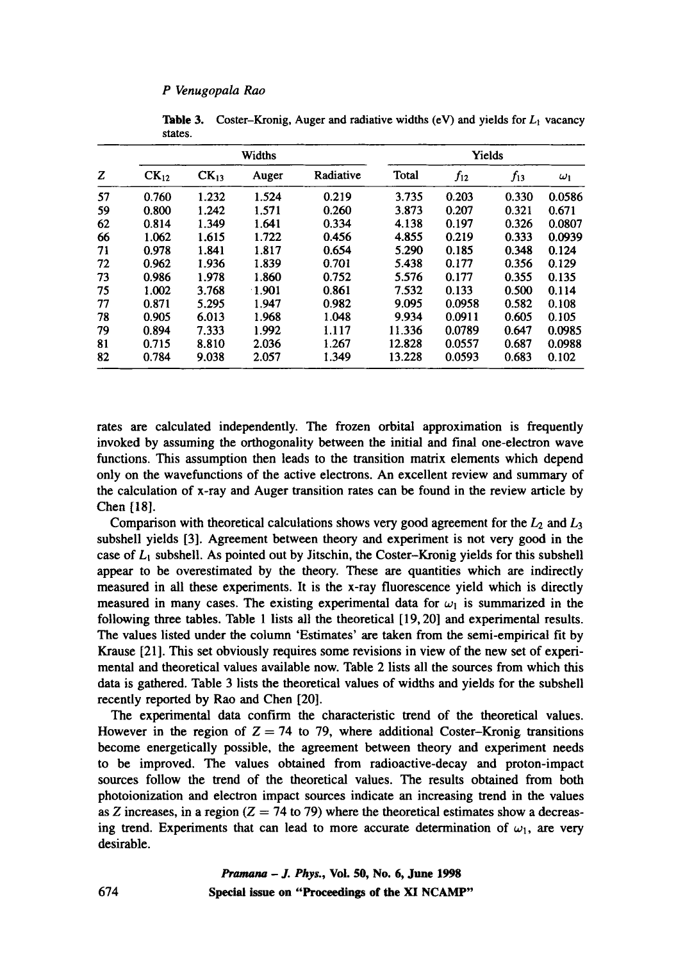|    |           |           | Widths | Yields    |        |          |          |            |
|----|-----------|-----------|--------|-----------|--------|----------|----------|------------|
| Z  | $CK_{12}$ | $CK_{13}$ | Auger  | Radiative | Total  | $f_{12}$ | $f_{13}$ | $\omega_1$ |
| 57 | 0.760     | 1.232     | 1.524  | 0.219     | 3.735  | 0.203    | 0.330    | 0.0586     |
| 59 | 0.800     | 1.242     | 1.571  | 0.260     | 3.873  | 0.207    | 0.321    | 0.671      |
| 62 | 0.814     | 1.349     | 1.641  | 0.334     | 4.138  | 0.197    | 0.326    | 0.0807     |
| 66 | 1.062     | 1.615     | 1.722  | 0.456     | 4.855  | 0.219    | 0.333    | 0.0939     |
| 71 | 0.978     | 1.841     | 1.817  | 0.654     | 5.290  | 0.185    | 0.348    | 0.124      |
| 72 | 0.962     | 1.936     | 1.839  | 0.701     | 5.438  | 0.177    | 0.356    | 0.129      |
| 73 | 0.986     | 1.978     | 1.860  | 0.752     | 5.576  | 0.177    | 0.355    | 0.135      |
| 75 | 1.002     | 3.768     | 1.901  | 0.861     | 7.532  | 0.133    | 0.500    | 0.114      |
| 77 | 0.871     | 5.295     | 1.947  | 0.982     | 9.095  | 0.0958   | 0.582    | 0.108      |
| 78 | 0.905     | 6.013     | 1.968  | 1.048     | 9.934  | 0.0911   | 0.605    | 0.105      |
| 79 | 0.894     | 7.333     | 1.992  | 1.117     | 11.336 | 0.0789   | 0.647    | 0.0985     |
| 81 | 0.715     | 8.810     | 2.036  | 1.267     | 12.828 | 0.0557   | 0.687    | 0.0988     |
| 82 | 0.784     | 9.038     | 2.057  | 1.349     | 13.228 | 0.0593   | 0.683    | 0.102      |

Table 3. Coster-Kronig, Auger and radiative widths (eV) and yields for  $L_1$  vacancy states.

rates are calculated independently. The frozen orbital approximation is frequently invoked by assuming the orthogonality between the initial and final one-electron wave functions. This assumption then leads to the transition matrix elements which depend only on the wavefunctions of the active electrons. An excellent review and summary of the calculation of x-ray and Auger transition rates can be found in the review article by Chen  $[18]$ .

Comparison with theoretical calculations shows very good agreement for the  $L_2$  and  $L_3$ subshell yields [3]. Agreement between theory and experiment is not very good in the case of  $L_1$  subshell. As pointed out by Jitschin, the Coster-Kronig yields for this subshell appear to be overestimated by the theory. These are quantities which are indirectly measured in all these experiments. It is the x-ray fluorescence yield which is directly measured in many cases. The existing experimental data for  $\omega_1$  is summarized in the following three tables. Table 1 lists all the theoretical [19, 20] and experimental results. The values listed under the column 'Estimates' are taken from the semi-empirical fit by Krause [21]. This set obviously requires some revisions in view of the new set of experimental and theoretical values available now. Table 2 lists all the sources from which this data is gathered. Table 3 lists the theoretical values of widths and yields for the subshell recently reported by Rao and Chen [20].

The experimental data confirm the characteristic trend of the theoretical values. However in the region of  $Z = 74$  to 79, where additional Coster-Kronig transitions become energetically possible, the agreement between theory and experiment needs to be improved. The values obtained from radioactive-decay and proton-impact sources follow the trend of the theoretical values. The results obtained from both photoionization and electron impact sources indicate an increasing trend in the values as Z increases, in a region ( $Z = 74$  to 79) where the theoretical estimates show a decreasing trend. Experiments that can lead to more accurate determination of  $\omega_1$ , are very desirable.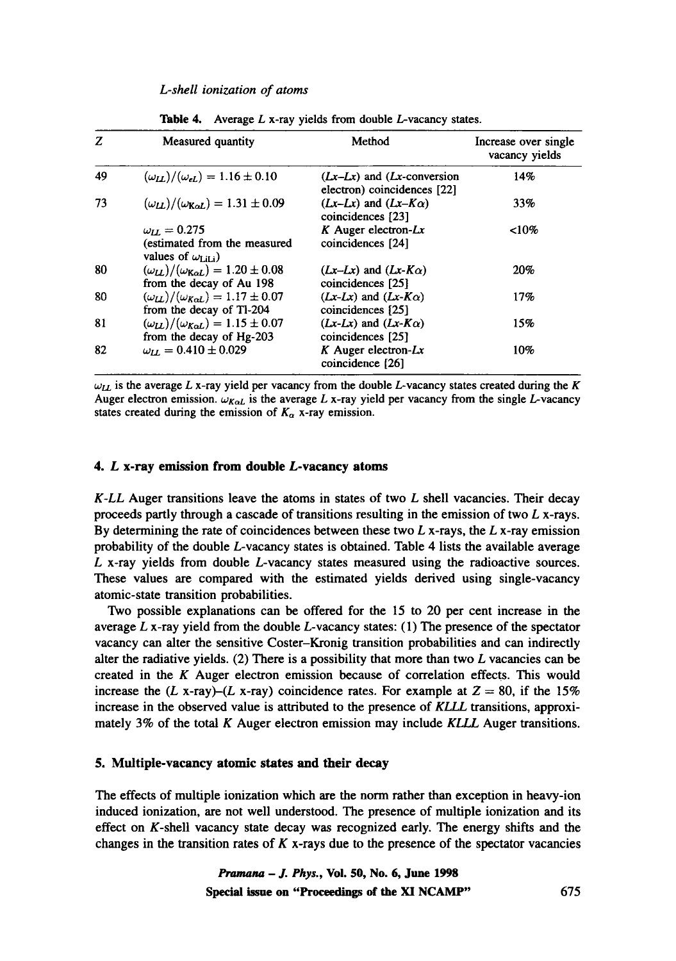| Z  | Measured quantity                                                                         | Method                                                         | Increase over single<br>vacancy yields |
|----|-------------------------------------------------------------------------------------------|----------------------------------------------------------------|----------------------------------------|
| 49 | $(\omega_{LL})/(\omega_{el}) = 1.16 \pm 0.10$                                             | $(Lx-Lx)$ and $(Lx$ -conversion<br>electron) coincidences [22] | 14%                                    |
| 73 | $(\omega_{LL})/(\omega_{K \alpha L}) = 1.31 \pm 0.09$                                     | $(Lx-Lx)$ and $(Lx-K\alpha)$<br>coincidences [23]              | 33%                                    |
|    | $\omega_{II} = 0.275$<br>(estimated from the measured<br>values of $\omega_{\text{Li}}$ ) | $K$ Auger electron- $Lx$<br>coincidences [24]                  | $10\%$                                 |
| 80 | $(\omega_{IJ})/(\omega_{K \alpha I}) = 1.20 \pm 0.08$<br>from the decay of Au 198         | $(Lx-Lx)$ and $(Lx-K\alpha)$<br>coincidences [25]              | 20%                                    |
| 80 | $(\omega_{LL})/(\omega_{K\alpha L}) = 1.17 \pm 0.07$<br>from the decay of Tl-204          | $(Lx-Lx)$ and $(Lx-K\alpha)$<br>coincidences [25]              | 17%                                    |
| 81 | $(\omega_{LL})/(\omega_{K \alpha L}) = 1.15 \pm 0.07$<br>from the decay of Hg-203         | $(Lx-Lx)$ and $(Lx-K\alpha)$<br>coincidences [25]              | 15%                                    |
| 82 | $\omega_{II} = 0.410 \pm 0.029$                                                           | $K$ Auger electron- $Lx$<br>coincidence [26]                   | 10%                                    |

Table 4. Average  $L$  x-ray yields from double  $L$ -vacancy states.

 $\omega_{LL}$  is the average L x-ray yield per vacancy from the double L-vacancy states created during the K Auger electron emission.  $\omega_{K\alpha L}$  is the average L x-ray yield per vacancy from the single L-vacancy states created during the emission of  $K_{\alpha}$  x-ray emission.

## **4. L x-ray emission from double L-vacancy atoms**

*K-LL* Auger transitions leave the atoms in states of two L shell vacancies. Their decay proceeds partly through a cascade of transitions resulting in the emission of two  $L$  x-rays. By determining the rate of coincidences between these two  $L$  x-rays, the  $L$  x-ray emission probability of the double L-vacancy states is obtained. Table 4 lists the available average L x-ray yields from double L-vacancy states measured using the radioactive sources. These values are compared with the estimated yields derived using single-vacancy atomic-state transition probabilities.

Two possible explanations can be offered for the 15 to 20 per cent increase in the average  $L$  x-ray yield from the double  $L$ -vacancy states: (1) The presence of the spectator vacancy can alter the sensitive Coster-Kronig transition probabilities and can indirectly alter the radiative yields. (2) There is a possibility that more than two  $L$  vacancies can be created in the  $K$  Auger electron emission because of correlation effects. This would increase the (L x-ray)-(L x-ray) coincidence rates. For example at  $Z = 80$ , if the 15% increase in the observed value is attributed to the presence of *KLLL* transitions, approximately 3% of the total K Auger electron emission may include *KLLL* Auger transitions.

## **5. Multiple-vacancy atomic states and their decay**

The effects of multiple ionization which are the norm rather than exception in heavy-ion induced ionization, are not well understood. The presence of multiple ionization and its effect on K-shell vacancy state decay was recognized early. The energy shifts and the changes in the transition rates of  $K$  x-rays due to the presence of the spectator vacancies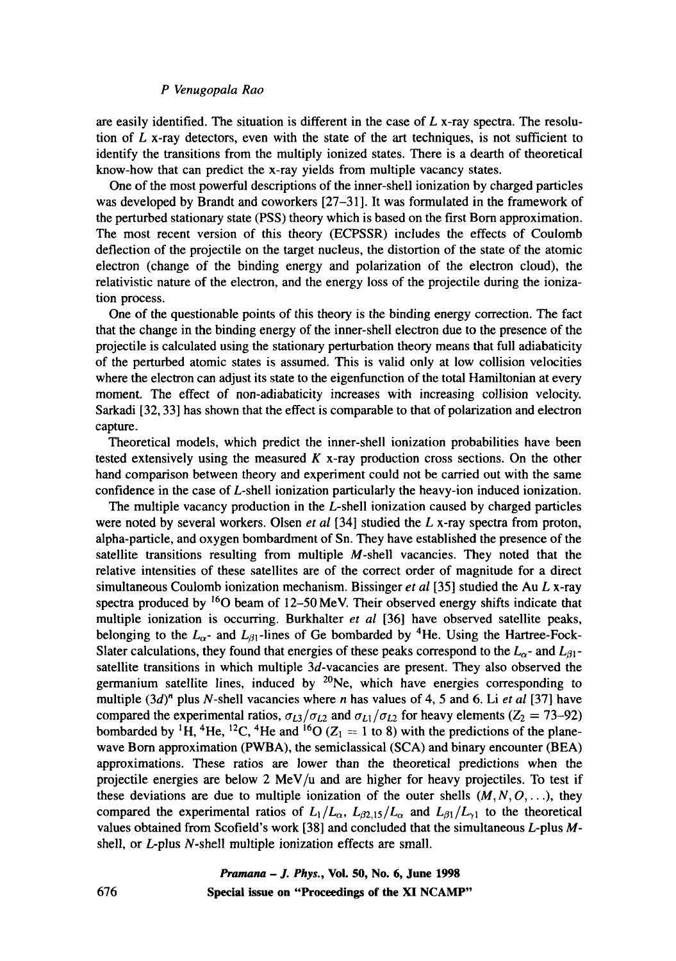are easily identified. The situation is different in the case of  $L$  x-ray spectra. The resolution of  $L$  x-ray detectors, even with the state of the art techniques, is not sufficient to identify the transitions from the multiply ionized states. There is a dearth of theoretical know-how that can predict the x-ray yields from multiple vacancy states.

One of the most powerful descriptions of the inner-shell ionization by charged particles was developed by Brandt and coworkers [27-31]. It was formulated in the framework of the perturbed stationary state (PSS) theory which is based on the first Born approximation. The most recent version of this theory (ECPSSR) includes the effects of Coulomb deflection of the projectile on the target nucleus, the distortion of the state of the atomic electron (change of the binding energy and polarization of the electron cloud), the relativistic nature of the electron, and the energy loss of the projectile during the ionization process.

One of the questionable points of this theory is the binding energy correction. The fact that the change in the binding energy of the inner-shell electron due to the presence of the projectile is calculated using the stationary perturbation theory means that full adiabaticity of the perturbed atomic states is assumed. This is valid only at low collision velocities where the electron can adjust its state to the eigenfunction of the total Hamiltonian at every moment. The effect of non-adiabaticity increases with increasing collision velocity. Sarkadi [32, 33] has shown that the effect is comparable to that of polarization and electron capture.

Theoretical models, which predict the inner-shell ionization probabilities have been tested extensively using the measured  $K$  x-ray production cross sections. On the other hand comparison between theory and experiment could not be carried out with the same confidence in the case of L-shell ionization particularly the heavy-ion induced ionization.

The multiple vacancy production in the L-shell ionization caused by charged particles were noted by several workers. Olsen *et al* [34] studied the L x-ray spectra from proton, alpha-particle, and oxygen bombardment of Sn. They have established the presence of the satellite transitions resulting from multiple  $M$ -shell vacancies. They noted that the relative intensities of these satellites are of the correct order of magnitude for a direct simultaneous Coulomb ionization mechanism. Bissinger *et al* [35] studied the Au L x-ray spectra produced by  $^{16}O$  beam of 12-50 MeV. Their observed energy shifts indicate that multiple ionization is occurring. Burkhalter *et al* [36] have observed satellite peaks, belonging to the  $L_{\alpha}$ - and  $L_{\beta 1}$ -lines of Ge bombarded by <sup>4</sup>He. Using the Hartree-Fock-Slater calculations, they found that energies of these peaks correspond to the  $L_{\alpha}$ - and  $L_{\beta1}$ satellite transitions in which multiple  $3d$ -vacancies are present. They also observed the germanium satellite lines, induced by  $20$ Ne, which have energies corresponding to multiple  $(3d)^n$  plus N-shell vacancies where n has values of 4, 5 and 6. Li *et al* [37] have compared the experimental ratios,  $\sigma_{L3}/\sigma_{L2}$  and  $\sigma_{L1}/\sigma_{L2}$  for heavy elements ( $Z_2 = 73-92$ ) bombarded by <sup>1</sup>H, <sup>4</sup>He, <sup>12</sup>C, <sup>4</sup>He and <sup>16</sup>O ( $Z_1 = 1$  to 8) with the predictions of the planewave Born approximation (PWBA), the semiclassical (SCA) and binary encounter (BEA) approximations. These ratios are lower than the theoretical predictions when the projectile energies are below 2 MeV/ $\mu$  and are higher for heavy projectiles. To test if these deviations are due to multiple ionization of the outer shells  $(M, N, O, \ldots)$ , they compared the experimental ratios of  $L_1/L_{\alpha}$ ,  $L_{\beta2,15}/L_{\alpha}$  and  $L_{\beta1}/L_{\gamma1}$  to the theoretical values obtained from Scofield's work [38] and concluded that the simultaneous L-plus Mshell, or L-plus N-shell multiple ionization effects are small.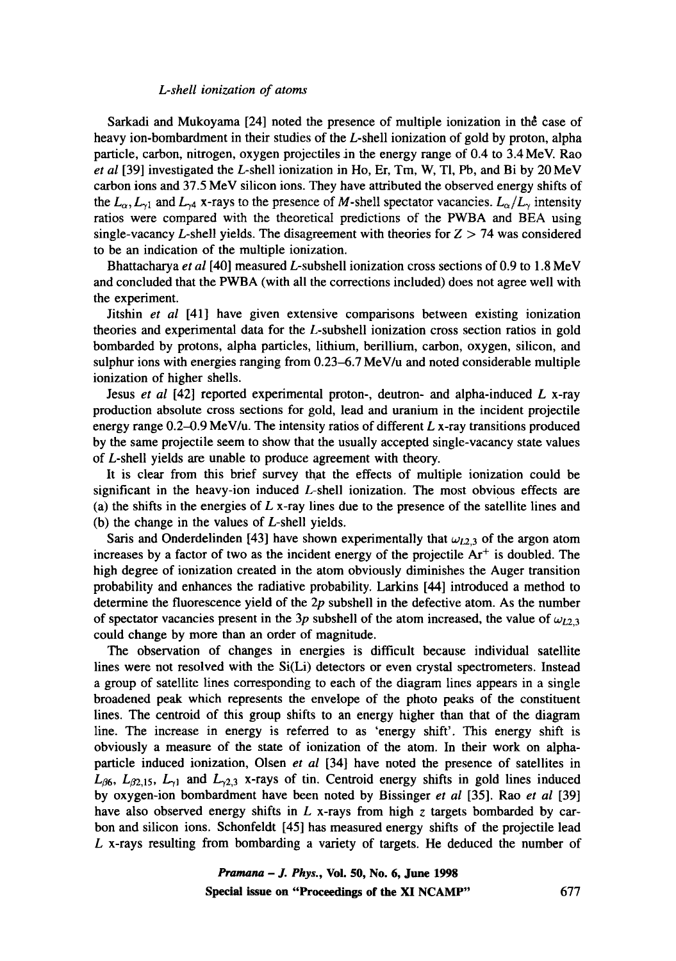Sarkadi and Mukoyama [24] noted the presence of multiple ionization in the case of heavy ion-bombardment in their studies of the L-shell ionization of gold by proton, alpha particle, carbon, nitrogen, oxygen projectiles in the energy range of 0.4 to 3.4 MeV. Rao *et al* [39] investigated the *L*-shell ionization in Ho, Er, Tm, W, Tl, Pb, and Bi by 20 MeV carbon ions and 37.5 MeV silicon ions. They have attributed the observed energy shifts of the  $L_{\alpha}$ ,  $L_{\gamma1}$  and  $L_{\gamma4}$  x-rays to the presence of M-shell spectator vacancies.  $L_{\alpha}/L_{\gamma}$  intensity ratios were compared with the theoretical predictions of the PWBA and BEA using single-vacancy L-shell yields. The disagreement with theories for  $Z > 74$  was considered to be an indication of the multiple ionization.

Bhattacharya *et al* [40] measured L-subshell ionization cross sections of 0.9 to 1.8 MeV and concluded that the PWBA (with all the corrections included) does not agree well with the experiment.

Jitshin *et al* [41] have given extensive comparisons between existing ionization theories and experimental data for the L-subshell ionization cross section ratios in gold bombarded by protons, alpha particles, lithium, berillium, carbon, oxygen, silicon, and sulphur ions with energies ranging from 0.23-6.7 MeV/u and noted considerable multiple ionization of higher shells.

Jesus *et al* [42] reported experimental proton-, deutron- and alpha-induced L x-ray production absolute cross sections for gold, lead and uranium in the incident projectile energy range  $0.2{\text -}0.9$  MeV/u. The intensity ratios of different L x-ray transitions produced by the same projectile seem to show that the usually accepted single-vacancy state values of L-shell yields are unable to produce agreement with theory.

It is clear from this brief survey that the effects of multiple ionization could be significant in the heavy-ion induced L-shell ionization. The most obvious effects are (a) the shifts in the energies of  $L$  x-ray lines due to the presence of the satellite lines and (b) the change in the values of L-shell yields.

Saris and Onderdelinden [43] have shown experimentally that  $\omega_{L2,3}$  of the argon atom increases by a factor of two as the incident energy of the projectile  $Ar<sup>+</sup>$  is doubled. The high degree of ionization created in the atom obviously diminishes the Auger transition probability and enhances the radiative probability. Larkins [44] introduced a method to determine the fluorescence yield of the  $2p$  subshell in the defective atom. As the number of spectator vacancies present in the 3p subshell of the atom increased, the value of  $\omega_{L2,3}$ could change by more than an order of magnitude.

The observation of changes in energies is difficult because individual satellite lines were not resolved with the Si(Li) detectors or even crystal spectrometers. Instead a group of satellite lines corresponding to each of the diagram lines appears in a single broadened peak which represents the envelope of the photo peaks of the constituent lines. The centroid of this group shifts to an energy higher than that of the diagram line. The increase in energy is referred to as 'energy shift'. This energy shift is obviously a measure of the state of ionization of the atom. In their work on alphaparticle induced ionization, Olsen *et al* [34] have noted the presence of satellites in  $L_{\beta6}$ ,  $L_{\beta2,15}$ ,  $L_{\gamma1}$  and  $L_{\gamma2,3}$  x-rays of tin. Centroid energy shifts in gold lines induced by oxygen-ion bombardment have been noted by Bissinger *et al* [35]. Rao *et al* [39] have also observed energy shifts in  $L$  x-rays from high z targets bombarded by carbon and silicon ions. Schonfeldt [45] has measured energy shifts of the projectile lead L x-rays resulting from bombarding a variety of targets. He deduced the number of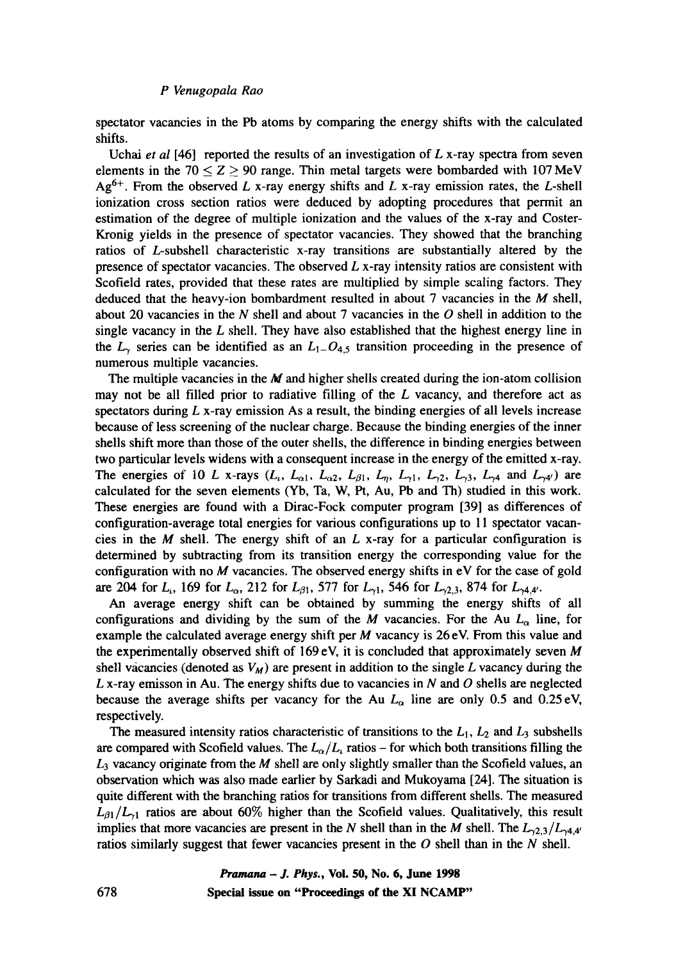spectator vacancies in the Pb atoms by comparing the energy shifts with the calculated shifts.

Uchai *et al* [46] reported the results of an investigation of L x-ray spectra from seven elements in the 70  $\leq$  Z  $\geq$  90 range. Thin metal targets were bombarded with 107 MeV  $Ag<sup>6+</sup>$ . From the observed L x-ray energy shifts and L x-ray emission rates, the L-shell ionization cross section ratios were deduced by adopting procedures that permit an estimation of the degree of multiple ionization and the values of the x-ray and Coster-Kronig yields in the presence of spectator vacancies. They showed that the branching ratios of L-subshell characteristic x-ray transitions are substantially altered by the presence of spectator vacancies. The observed  $L$  x-ray intensity ratios are consistent with Scofield rates, provided that these rates are multiplied by simple scaling factors. They deduced that the heavy-ion bombardment resulted in about 7 vacancies in the  $M$  shell, about 20 vacancies in the N shell and about 7 vacancies in the O shell in addition to the single vacancy in the  $L$  shell. They have also established that the highest energy line in the  $L_{\gamma}$  series can be identified as an  $L_{1-}O_{4,5}$  transition proceeding in the presence of numerous multiple vacancies.

The multiple vacancies in the  $M$  and higher shells created during the ion-atom collision may not be all filled prior to radiative filling of the  $L$  vacancy, and therefore act as spectators during  $L$  x-ray emission As a result, the binding energies of all levels increase because of less screening of the nuclear charge. Because the binding energies of the inner shells shift more than those of the outer shells, the difference in binding energies between two particular levels widens with a consequent increase in the energy of the emitted x-ray. The energies of 10 L x-rays  $(L_i, L_{\alpha 1}, L_{\alpha 2}, L_{\beta 1}, L_{\eta}, L_{\gamma 1}, L_{\gamma 2}, L_{\gamma 3}, L_{\gamma 4}$  and  $L_{\gamma 4'}$ ) are calculated for the seven elements (Yb, Ta, W, Pt, Au, Pb and Th) studied in this work. These energies are found with a Dirac-Fock computer program [39] as differences of configuration-average total energies for various configurations up to 11 spectator vacancies in the  $M$  shell. The energy shift of an  $L$  x-ray for a particular configuration is determined by subtracting from its transition energy the corresponding value for the configuration with no  $M$  vacancies. The observed energy shifts in  $eV$  for the case of gold are 204 for  $L_1$ , 169 for  $L_{\alpha}$ , 212 for  $L_{\beta 1}$ , 577 for  $L_{\gamma 1}$ , 546 for  $L_{\gamma 2,3}$ , 874 for  $L_{\gamma 4,4'}$ .

An average energy shift can be obtained by summing the energy shifts of all configurations and dividing by the sum of the M vacancies. For the Au  $L_{\alpha}$  line, for example the calculated average energy shift per  $M$  vacancy is 26 eV. From this value and the experimentally observed shift of  $169 \text{ eV}$ , it is concluded that approximately seven M shell vacancies (denoted as  $V_M$ ) are present in addition to the single L vacancy during the L x-ray emisson in Au. The energy shifts due to vacancies in N and O shells are neglected because the average shifts per vacancy for the Au  $L_{\alpha}$  line are only 0.5 and 0.25 eV, respectively.

The measured intensity ratios characteristic of transitions to the  $L_1$ ,  $L_2$  and  $L_3$  subshells are compared with Scofield values. The  $L_{\alpha}/L_{\iota}$  ratios - for which both transitions filling the  $L_3$  vacancy originate from the M shell are only slightly smaller than the Scofield values, an observation which was also made earlier by Sarkadi and Mukoyama [24]. The situation is quite different with the branching ratios for transitions from different shells. The measured  $L_{\beta 1}/L_{\gamma 1}$  ratios are about 60% higher than the Scofield values. Qualitatively, this result implies that more vacancies are present in the N shell than in the M shell. The  $L_{\gamma,2,3}/L_{\gamma,4,4'}$ ratios similarly suggest that fewer vacancies present in the  $O$  shell than in the  $N$  shell.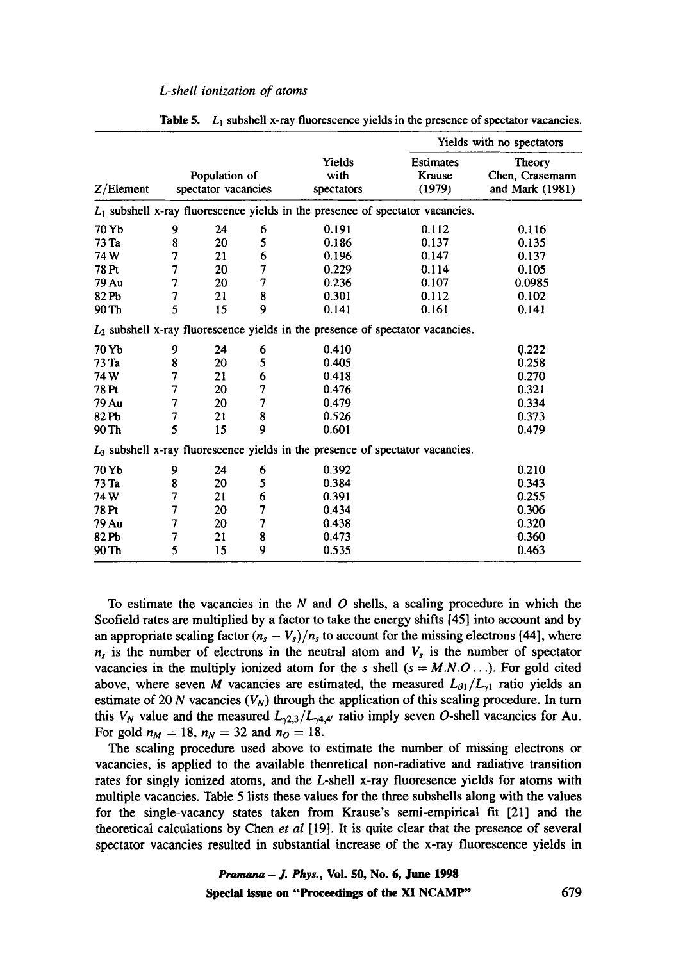|           |                                      |    |                              |                                                                                  | Yields with no spectators                    |        |  |
|-----------|--------------------------------------|----|------------------------------|----------------------------------------------------------------------------------|----------------------------------------------|--------|--|
| Z/Element | Population of<br>spectator vacancies |    | Yields<br>with<br>spectators | <b>Estimates</b><br>Krause<br>(1979)                                             | Theory<br>Chen, Crasemann<br>and Mark (1981) |        |  |
|           |                                      |    |                              | $L_1$ subshell x-ray fluorescence yields in the presence of spectator vacancies. |                                              |        |  |
| 70 Yb     | 9                                    | 24 | 6                            | 0.191                                                                            | 0.112                                        | 0.116  |  |
| 73 Ta     | 8                                    | 20 | 5                            | 0.186                                                                            | 0.137                                        | 0.135  |  |
| 74W       | 7                                    | 21 | 6                            | 0.196                                                                            | 0.147                                        | 0.137  |  |
| 78 Pt     | 7                                    | 20 | 7                            | 0.229                                                                            | 0.114                                        | 0.105  |  |
| 79 Au     | 7                                    | 20 | 7                            | 0.236                                                                            | 0.107                                        | 0.0985 |  |
| 82 Pb     | 7                                    | 21 | 8                            | 0.301                                                                            | 0.112                                        | 0.102  |  |
| 90 Th     | 5                                    | 15 | 9                            | 0.141                                                                            | 0.161                                        | 0.141  |  |
|           |                                      |    |                              | $L_2$ subshell x-ray fluorescence yields in the presence of spectator vacancies. |                                              |        |  |
| 70 Yb     | 9                                    | 24 | 6                            | 0.410                                                                            |                                              | 0.222  |  |
| 73 Ta     | 8                                    | 20 | 5                            | 0.405                                                                            |                                              | 0.258  |  |
| 74 W      | 7                                    | 21 | 6                            | 0.418                                                                            |                                              | 0.270  |  |
| 78 Pt     | 7                                    | 20 | 7                            | 0.476                                                                            |                                              | 0.321  |  |
| 79 Au     | 7                                    | 20 | 7                            | 0.479                                                                            |                                              | 0.334  |  |
| 82 Pb     | 7                                    | 21 | 8                            | 0.526                                                                            |                                              | 0.373  |  |
| 90 Th     | 5                                    | 15 | 9                            | 0.601                                                                            |                                              | 0.479  |  |
|           |                                      |    |                              | $L_3$ subshell x-ray fluorescence yields in the presence of spectator vacancies. |                                              |        |  |
| 70 Yb     | 9                                    | 24 | 6                            | 0.392                                                                            |                                              | 0.210  |  |
| 73 Ta     | 8                                    | 20 | 5                            | 0.384                                                                            |                                              | 0.343  |  |
| 74 W      | 7                                    | 21 | 6                            | 0.391                                                                            |                                              | 0.255  |  |
| 78 Pt     | 7                                    | 20 | 7                            | 0.434                                                                            |                                              | 0.306  |  |
| 79 Au     | 7                                    | 20 | 7                            | 0.438                                                                            |                                              | 0.320  |  |
| 82 Pb     | 7                                    | 21 | 8                            | 0.473                                                                            |                                              | 0.360  |  |
| 90 Th     | 5                                    | 15 | 9                            | 0.535                                                                            |                                              | 0.463  |  |

|  |  |  |  |  | <b>Table 5.</b> $L_1$ subshell x-ray fluorescence vields in the presence of spectator vacancies. |
|--|--|--|--|--|--------------------------------------------------------------------------------------------------|
|--|--|--|--|--|--------------------------------------------------------------------------------------------------|

To estimate the vacancies in the  $N$  and  $O$  shells, a scaling procedure in which the Scofield rates are multiplied by a factor to take the energy shifts [45] into account and by an appropriate scaling factor  $(n_s - V_s)/n_s$  to account for the missing electrons [44], where  $n<sub>s</sub>$  is the number of electrons in the neutral atom and  $V<sub>s</sub>$  is the number of spectator vacancies in the multiply ionized atom for the s shell  $(s = M.N.O...)$ . For gold cited above, where seven M vacancies are estimated, the measured  $L_{\beta 1}/L_{\gamma 1}$  ratio yields an estimate of 20 N vacancies  $(V_N)$  through the application of this scaling procedure. In turn this  $V_N$  value and the measured  $L_{\gamma2,3}/L_{\gamma4,4'}$  ratio imply seven O-shell vacancies for Au. For gold  $n_M = 18$ ,  $n_N = 32$  and  $n_O = 18$ .

The scaling procedure used above to estimate the number of missing electrons or vacancies, is applied to the available theoretical non-radiative and radiative transition rates for singly ionized atoms, and the L-shell x-ray fluoresence yields for atoms with multiple vacancies. Table 5 lists these values for the three subshells along with the values for the single-vacancy states taken from Krause's semi-empirical fit [21] and the theoretical calculations by Chen *et al* [19]. It is quite clear that the presence of several spectator vacancies resulted in substantial increase of the x-ray fluorescence yields in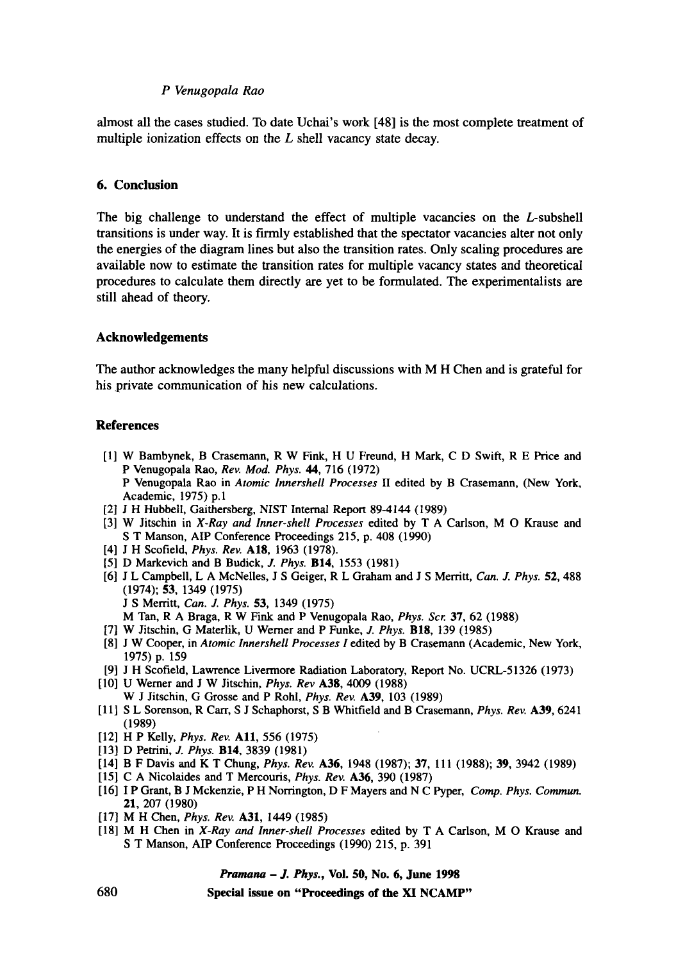almost all the cases studied. To date Uchai's work [48] is the most complete treatment of multiple ionization effects on the  $L$  shell vacancy state decay.

## **6. Conclusion**

The big challenge to understand the effect of multiple vacancies on the L-subshell transitions is under way. It is firmly established that the spectator vacancies alter not only the energies of the diagram lines but also the transition rates. Only scaling procedures are available now to estimate the transition rates for multiple vacancy states and theoretical procedures to calculate them directly are yet to be formulated. The experimentalists are still ahead of theory.

## **Acknowledgements**

The author acknowledges the many helpful discussions with M H Chen and is grateful for his private communication of his new calculations.

## **References**

- [1] W Bambynek, B Crasemann, R W Fink, H U Freund, H Mark, C D Swift, R E Price and P Venugopala Rao, *Rev. Mod. Phys. 44,* 716 (1972) P Venugopala Rao in *Atomic Innershell Processes* II edited by B Crasemann, (New York, Academic, 1975) p.1
- [2] J H Hubbell, Gaithersberg, NIST Internal Report 89-4144 (1989)
- [3] W Jitschin in *X-Ray and Inner-shell Processes* edited by T A Carlson, M O Krause and S T Manson, AIP Conference Proceedings 215, p. 408 (1990)
- [4] J H Scofield, *Phys. Rev.* A18, 1963 (1978).
- [5] D Markevich and B Budick, J. *Phys.* B14, 1553 (1981)
- [6] J L Campbell, L A McNelles, J S Geiger, R L Graham and J S Merritt, *Can. J. Phys.* 52, 488 (1974); 53, 1349 (1975) J S Merritt, *Can. J. Phys.* 53, 1349 (1975)
	- M Tan, R A Braga, R W Fink and P Venugopala Rao, *Phys. Scr.* 37, 62 (1988)
- [7] W Jitschin, G Materlik, U Werner and P Funke, *J. Phys.* BIS, 139 (1985)
- [8] J W Cooper, in *Atomic lnnershell Processes I* edited by B Crasemann (Academic, New York, 1975) p. 159
- [9] J H Scofield, Lawrence Livermore Radiation Laboratory, Report No. UCRL-51326 (1973)
- [10] U Werner and J W Jitschin, *Phys. Rev* A38, 4009 (1988) W J Jitschin, G Grosse and P Rohl, *Phys. Rev.* A39, 103 (1989)
- [11] S L Sorenson, R Carr, S J Schaphorst, S B Whitfield and B Crasemann, *Phys. Rev.* A39, 6241 (1989)
- [12] H P Kelly, *Phys. Rev.* All, 556 (1975)
- [13] D Petrini, *J. Phys.* B14, 3839 (1981)
- [14] B F Davis and K T Chung, *Phys. Rev.* A36, 1948 (1987); 37, 111 (1988); 39, 3942 (1989)
- [15] C A Nicolaldes and T Mercouris, *Phys. Rev.* A36, 390 (1987)
- [16] I P Grant, B J Mckenzie, P H Norrington, D F Mayers and N C Pyper, *Comp. Phys. Commun.*  21, 207 (1980)
- [17] M H Chen, *Phys. Rev.* **A31**, 1449 (1985)
- [18] M H Chen in *X-Ray and Inner-shell Processes* edited by T A Carlson, M O Krause and S T Manson, AIP Conference Proceedings (1990) 215, p. 391

## *Pramana - J. Phys.,* **Vol. 50, No. 6, June 1998**

**Special issue on "Proceedings of the XI NCAMP"**